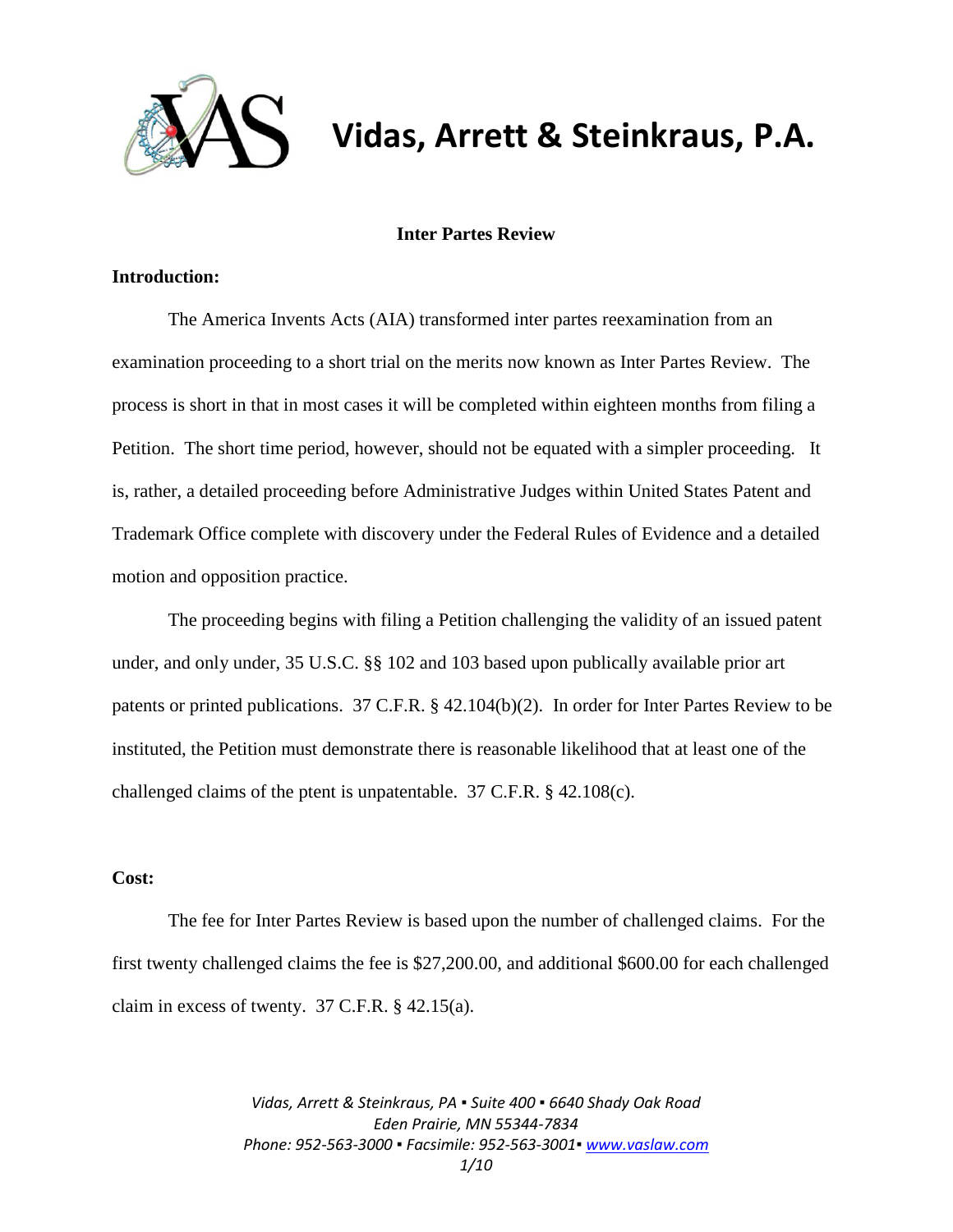

# **Vidas, Arrett & Steinkraus, P.A.**

# **Inter Partes Review**

# **Introduction:**

The America Invents Acts (AIA) transformed inter partes reexamination from an examination proceeding to a short trial on the merits now known as Inter Partes Review. The process is short in that in most cases it will be completed within eighteen months from filing a Petition. The short time period, however, should not be equated with a simpler proceeding. It is, rather, a detailed proceeding before Administrative Judges within United States Patent and Trademark Office complete with discovery under the Federal Rules of Evidence and a detailed motion and opposition practice.

The proceeding begins with filing a Petition challenging the validity of an issued patent under, and only under, 35 U.S.C. §§ 102 and 103 based upon publically available prior art patents or printed publications. 37 C.F.R. § 42.104(b)(2). In order for Inter Partes Review to be instituted, the Petition must demonstrate there is reasonable likelihood that at least one of the challenged claims of the ptent is unpatentable. 37 C.F.R. § 42.108(c).

# **Cost:**

The fee for Inter Partes Review is based upon the number of challenged claims. For the first twenty challenged claims the fee is \$27,200.00, and additional \$600.00 for each challenged claim in excess of twenty. 37 C.F.R. § 42.15(a).

> *Vidas, Arrett & Steinkraus, PA ▪ Suite 400 ▪ 6640 Shady Oak Road Eden Prairie, MN 55344-7834 Phone: 952-563-3000 ▪ Facsimile: 952-563-3001[▪ www.vaslaw.com](http://www.vaslaw.com/) 1/10*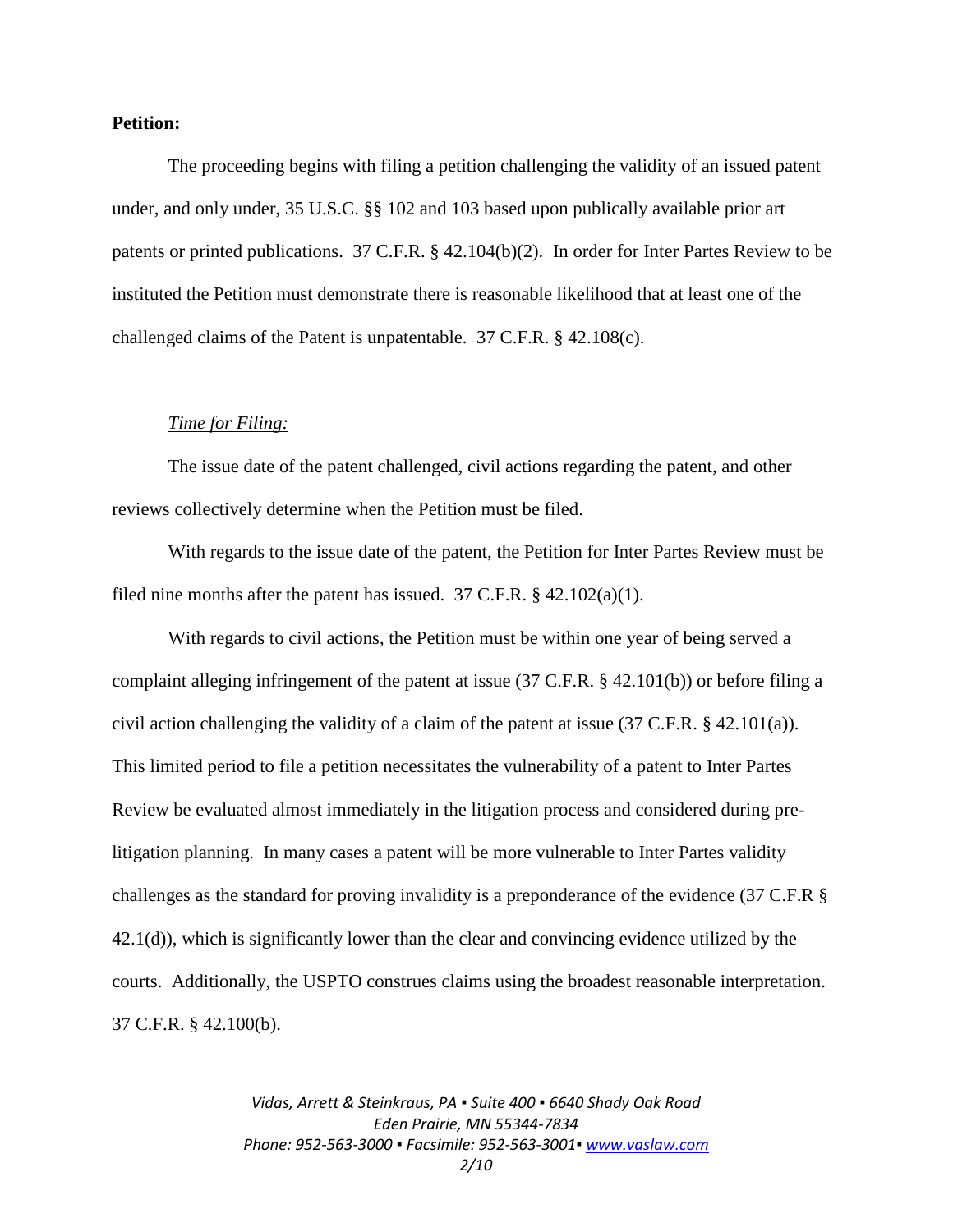#### **Petition:**

The proceeding begins with filing a petition challenging the validity of an issued patent under, and only under, 35 U.S.C. §§ 102 and 103 based upon publically available prior art patents or printed publications. 37 C.F.R. § 42.104(b)(2). In order for Inter Partes Review to be instituted the Petition must demonstrate there is reasonable likelihood that at least one of the challenged claims of the Patent is unpatentable. 37 C.F.R. § 42.108(c).

#### *Time for Filing:*

The issue date of the patent challenged, civil actions regarding the patent, and other reviews collectively determine when the Petition must be filed.

With regards to the issue date of the patent, the Petition for Inter Partes Review must be filed nine months after the patent has issued.  $37$  C.F.R. § 42.102(a)(1).

With regards to civil actions, the Petition must be within one year of being served a complaint alleging infringement of the patent at issue (37 C.F.R. § 42.101(b)) or before filing a civil action challenging the validity of a claim of the patent at issue  $(37 \text{ C.F.R.} \& 42.101(a))$ . This limited period to file a petition necessitates the vulnerability of a patent to Inter Partes Review be evaluated almost immediately in the litigation process and considered during prelitigation planning. In many cases a patent will be more vulnerable to Inter Partes validity challenges as the standard for proving invalidity is a preponderance of the evidence (37 C.F.R § 42.1(d)), which is significantly lower than the clear and convincing evidence utilized by the courts. Additionally, the USPTO construes claims using the broadest reasonable interpretation. 37 C.F.R. § 42.100(b).

> *Vidas, Arrett & Steinkraus, PA ▪ Suite 400 ▪ 6640 Shady Oak Road Eden Prairie, MN 55344-7834 Phone: 952-563-3000 ▪ Facsimile: 952-563-3001[▪ www.vaslaw.com](http://www.vaslaw.com/) 2/10*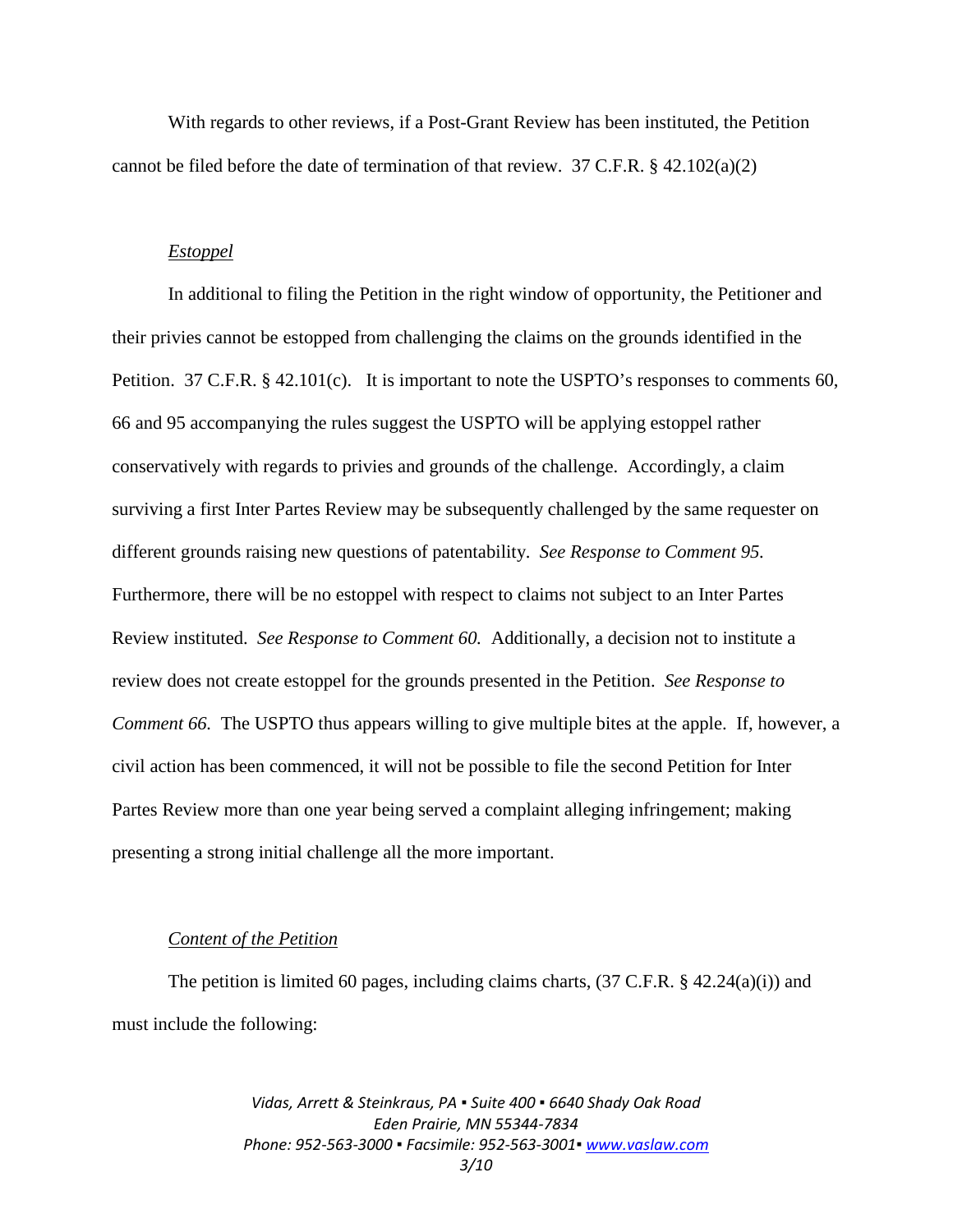With regards to other reviews, if a Post-Grant Review has been instituted, the Petition cannot be filed before the date of termination of that review.  $37 \text{ C.F.R.}$  §  $42.102(a)(2)$ 

# *Estoppel*

In additional to filing the Petition in the right window of opportunity, the Petitioner and their privies cannot be estopped from challenging the claims on the grounds identified in the Petition. 37 C.F.R. § 42.101(c). It is important to note the USPTO's responses to comments 60, 66 and 95 accompanying the rules suggest the USPTO will be applying estoppel rather conservatively with regards to privies and grounds of the challenge. Accordingly, a claim surviving a first Inter Partes Review may be subsequently challenged by the same requester on different grounds raising new questions of patentability. *See Response to Comment 95.*  Furthermore, there will be no estoppel with respect to claims not subject to an Inter Partes Review instituted. *See Response to Comment 60.* Additionally, a decision not to institute a review does not create estoppel for the grounds presented in the Petition. *See Response to Comment 66.* The USPTO thus appears willing to give multiple bites at the apple. If, however, a civil action has been commenced, it will not be possible to file the second Petition for Inter Partes Review more than one year being served a complaint alleging infringement; making presenting a strong initial challenge all the more important.

#### *Content of the Petition*

The petition is limited 60 pages, including claims charts,  $(37 \text{ C.F.R.} \& 42.24(a)(i))$  and must include the following:

> *Vidas, Arrett & Steinkraus, PA ▪ Suite 400 ▪ 6640 Shady Oak Road Eden Prairie, MN 55344-7834 Phone: 952-563-3000 ▪ Facsimile: 952-563-3001[▪ www.vaslaw.com](http://www.vaslaw.com/) 3/10*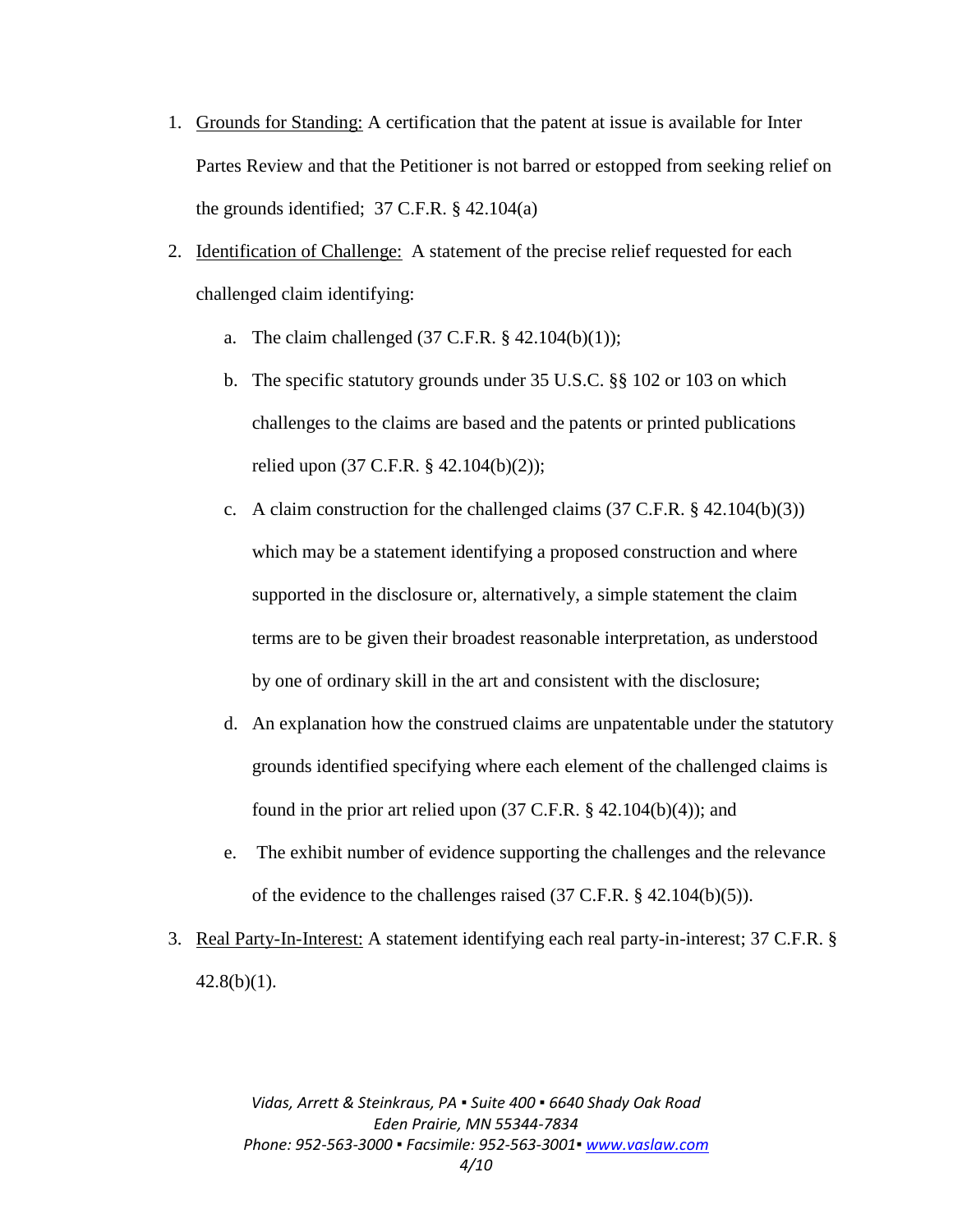- 1. Grounds for Standing: A certification that the patent at issue is available for Inter Partes Review and that the Petitioner is not barred or estopped from seeking relief on the grounds identified;  $37$  C.F.R.  $\S$  42.104(a)
- 2. Identification of Challenge: A statement of the precise relief requested for each challenged claim identifying:
	- a. The claim challenged  $(37 \text{ C.F.R. } § 42.104(b)(1));$
	- b. The specific statutory grounds under 35 U.S.C. §§ 102 or 103 on which challenges to the claims are based and the patents or printed publications relied upon (37 C.F.R. § 42.104(b)(2));
	- c. A claim construction for the challenged claims  $(37 \text{ C.F.R.} \$   $(42.104(b)(3))$ which may be a statement identifying a proposed construction and where supported in the disclosure or, alternatively, a simple statement the claim terms are to be given their broadest reasonable interpretation, as understood by one of ordinary skill in the art and consistent with the disclosure;
	- d. An explanation how the construed claims are unpatentable under the statutory grounds identified specifying where each element of the challenged claims is found in the prior art relied upon  $(37 \text{ C.F.R.} \$   $42.104(b)(4))$ ; and
	- e. The exhibit number of evidence supporting the challenges and the relevance of the evidence to the challenges raised (37 C.F.R. § 42.104(b)(5)).
- 3. Real Party-In-Interest: A statement identifying each real party-in-interest; 37 C.F.R. §  $42.8(b)(1)$ .

*Vidas, Arrett & Steinkraus, PA ▪ Suite 400 ▪ 6640 Shady Oak Road Eden Prairie, MN 55344-7834 Phone: 952-563-3000 ▪ Facsimile: 952-563-3001[▪ www.vaslaw.com](http://www.vaslaw.com/) 4/10*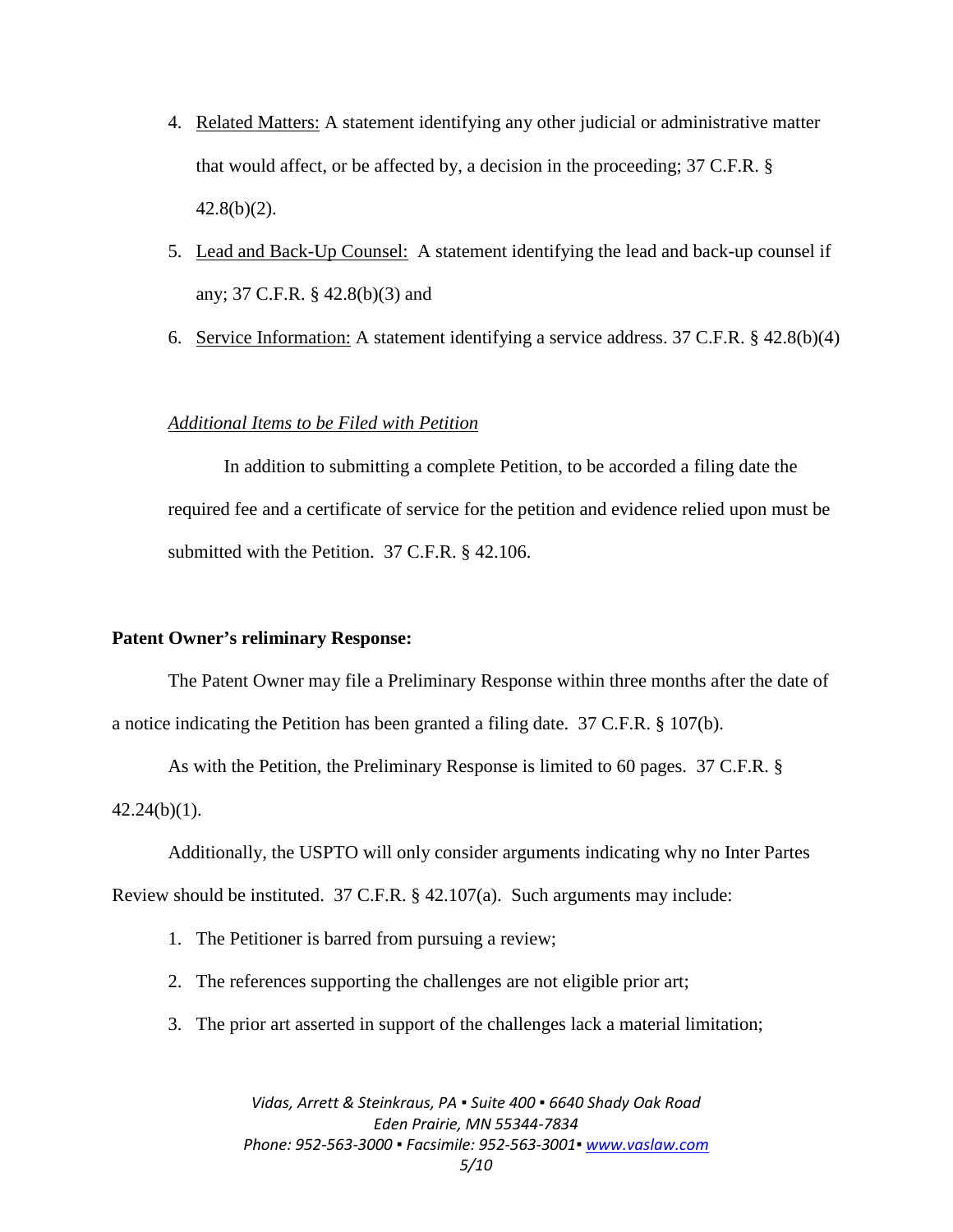- 4. Related Matters: A statement identifying any other judicial or administrative matter that would affect, or be affected by, a decision in the proceeding; 37 C.F.R. §  $42.8(b)(2)$ .
- 5. Lead and Back-Up Counsel: A statement identifying the lead and back-up counsel if any; 37 C.F.R. § 42.8(b)(3) and
- 6. Service Information: A statement identifying a service address. 37 C.F.R. § 42.8(b)(4)

# *Additional Items to be Filed with Petition*

In addition to submitting a complete Petition, to be accorded a filing date the required fee and a certificate of service for the petition and evidence relied upon must be submitted with the Petition. 37 C.F.R. § 42.106.

### **Patent Owner's reliminary Response:**

The Patent Owner may file a Preliminary Response within three months after the date of a notice indicating the Petition has been granted a filing date. 37 C.F.R. § 107(b).

As with the Petition, the Preliminary Response is limited to 60 pages. 37 C.F.R. §  $42.24(b)(1)$ .

Additionally, the USPTO will only consider arguments indicating why no Inter Partes

Review should be instituted. 37 C.F.R. § 42.107(a). Such arguments may include:

- 1. The Petitioner is barred from pursuing a review;
- 2. The references supporting the challenges are not eligible prior art;
- 3. The prior art asserted in support of the challenges lack a material limitation;

*Vidas, Arrett & Steinkraus, PA ▪ Suite 400 ▪ 6640 Shady Oak Road Eden Prairie, MN 55344-7834 Phone: 952-563-3000 ▪ Facsimile: 952-563-3001[▪ www.vaslaw.com](http://www.vaslaw.com/) 5/10*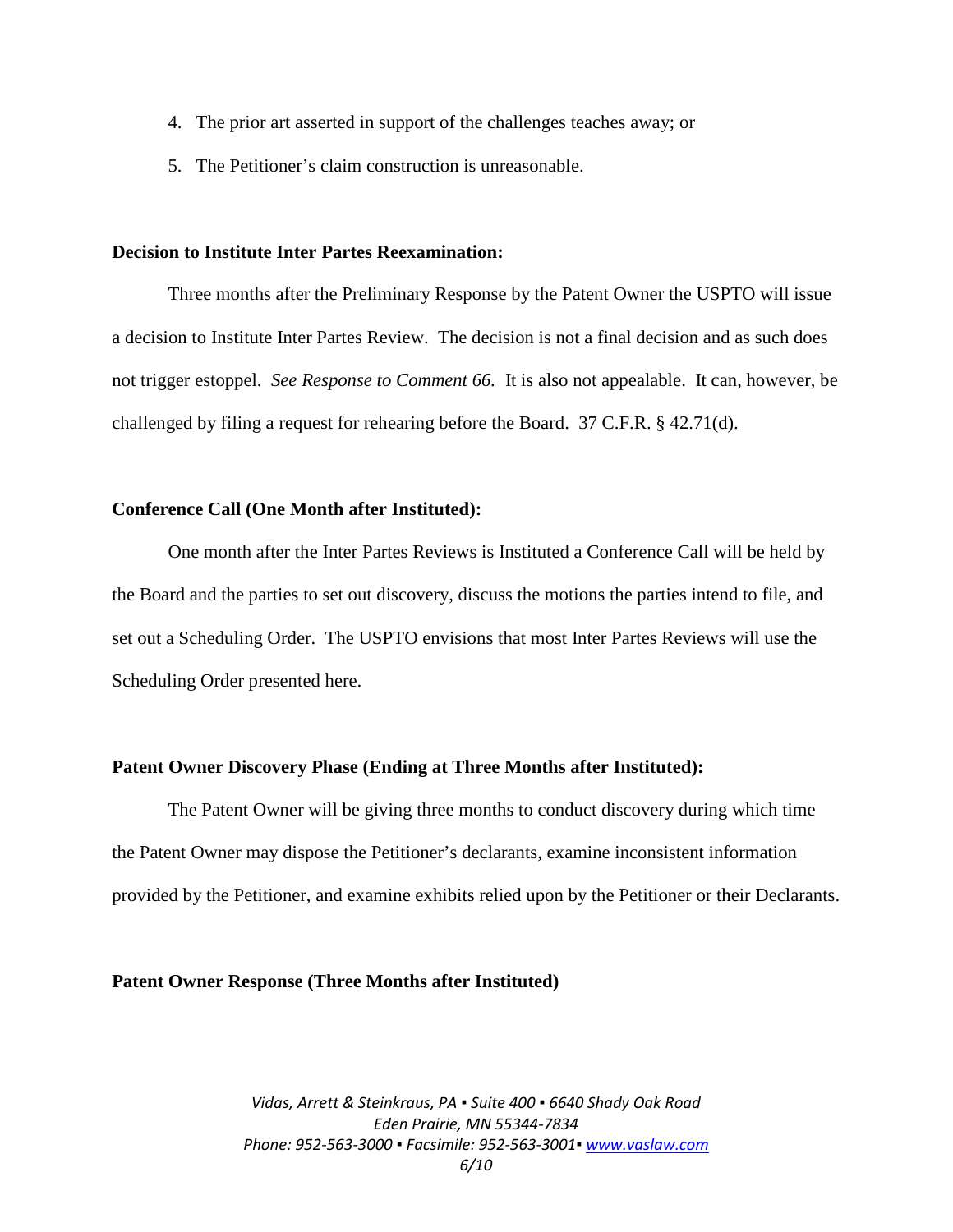- 4. The prior art asserted in support of the challenges teaches away; or
- 5. The Petitioner's claim construction is unreasonable.

#### **Decision to Institute Inter Partes Reexamination:**

Three months after the Preliminary Response by the Patent Owner the USPTO will issue a decision to Institute Inter Partes Review. The decision is not a final decision and as such does not trigger estoppel. *See Response to Comment 66.* It is also not appealable. It can, however, be challenged by filing a request for rehearing before the Board. 37 C.F.R. § 42.71(d).

# **Conference Call (One Month after Instituted):**

One month after the Inter Partes Reviews is Instituted a Conference Call will be held by the Board and the parties to set out discovery, discuss the motions the parties intend to file, and set out a Scheduling Order. The USPTO envisions that most Inter Partes Reviews will use the Scheduling Order presented here.

### **Patent Owner Discovery Phase (Ending at Three Months after Instituted):**

The Patent Owner will be giving three months to conduct discovery during which time the Patent Owner may dispose the Petitioner's declarants, examine inconsistent information provided by the Petitioner, and examine exhibits relied upon by the Petitioner or their Declarants.

#### **Patent Owner Response (Three Months after Instituted)**

*Vidas, Arrett & Steinkraus, PA ▪ Suite 400 ▪ 6640 Shady Oak Road Eden Prairie, MN 55344-7834 Phone: 952-563-3000 ▪ Facsimile: 952-563-3001[▪ www.vaslaw.com](http://www.vaslaw.com/) 6/10*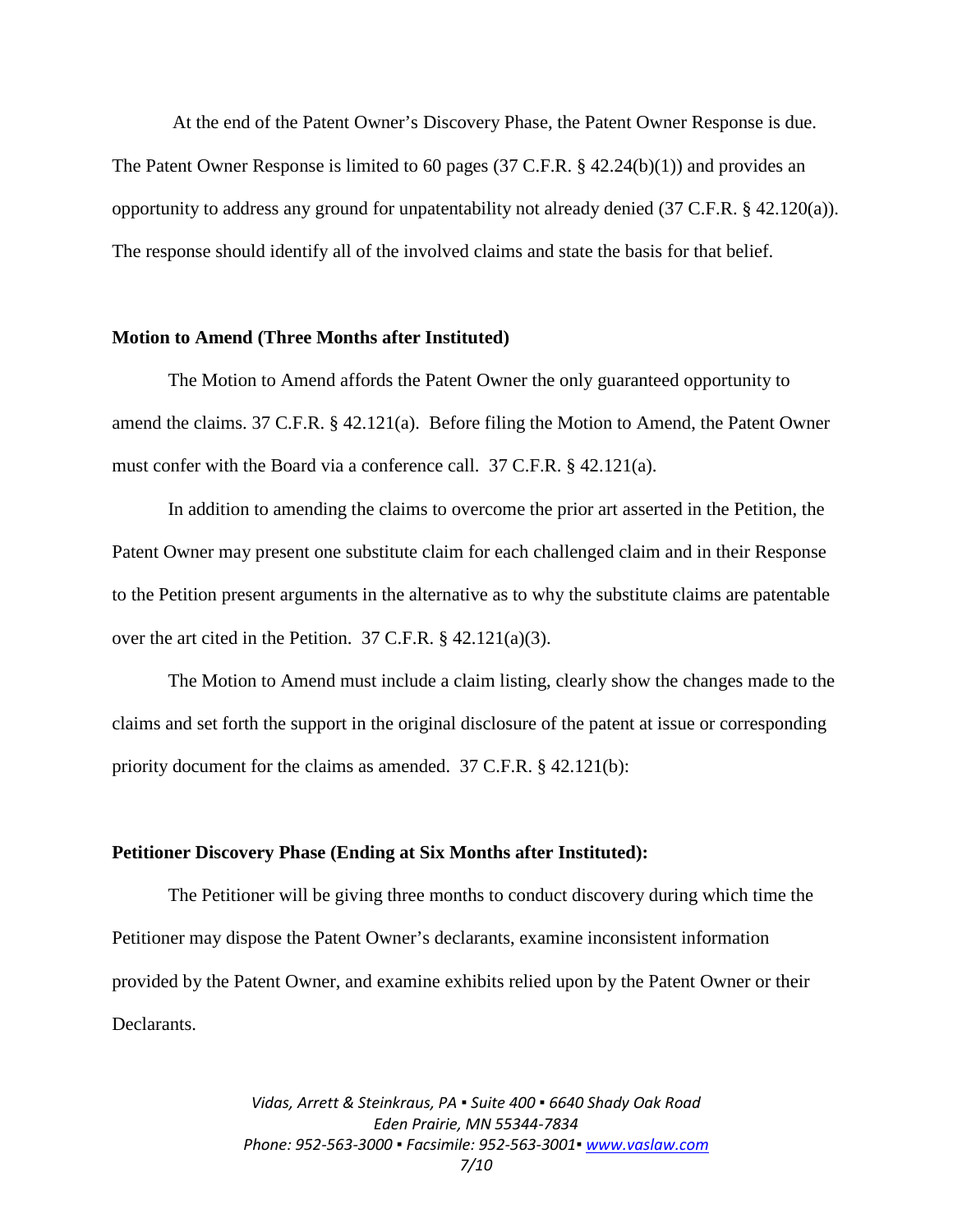At the end of the Patent Owner's Discovery Phase, the Patent Owner Response is due. The Patent Owner Response is limited to 60 pages (37 C.F.R. § 42.24(b)(1)) and provides an opportunity to address any ground for unpatentability not already denied  $(37 \text{ C.F.R.} \$   $42.120(a))$ . The response should identify all of the involved claims and state the basis for that belief.

#### **Motion to Amend (Three Months after Instituted)**

The Motion to Amend affords the Patent Owner the only guaranteed opportunity to amend the claims. 37 C.F.R. § 42.121(a). Before filing the Motion to Amend, the Patent Owner must confer with the Board via a conference call. 37 C.F.R. § 42.121(a).

In addition to amending the claims to overcome the prior art asserted in the Petition, the Patent Owner may present one substitute claim for each challenged claim and in their Response to the Petition present arguments in the alternative as to why the substitute claims are patentable over the art cited in the Petition. 37 C.F.R. § 42.121(a)(3).

The Motion to Amend must include a claim listing, clearly show the changes made to the claims and set forth the support in the original disclosure of the patent at issue or corresponding priority document for the claims as amended. 37 C.F.R. § 42.121(b):

#### **Petitioner Discovery Phase (Ending at Six Months after Instituted):**

The Petitioner will be giving three months to conduct discovery during which time the Petitioner may dispose the Patent Owner's declarants, examine inconsistent information provided by the Patent Owner, and examine exhibits relied upon by the Patent Owner or their Declarants.

> *Vidas, Arrett & Steinkraus, PA ▪ Suite 400 ▪ 6640 Shady Oak Road Eden Prairie, MN 55344-7834 Phone: 952-563-3000 ▪ Facsimile: 952-563-3001[▪ www.vaslaw.com](http://www.vaslaw.com/) 7/10*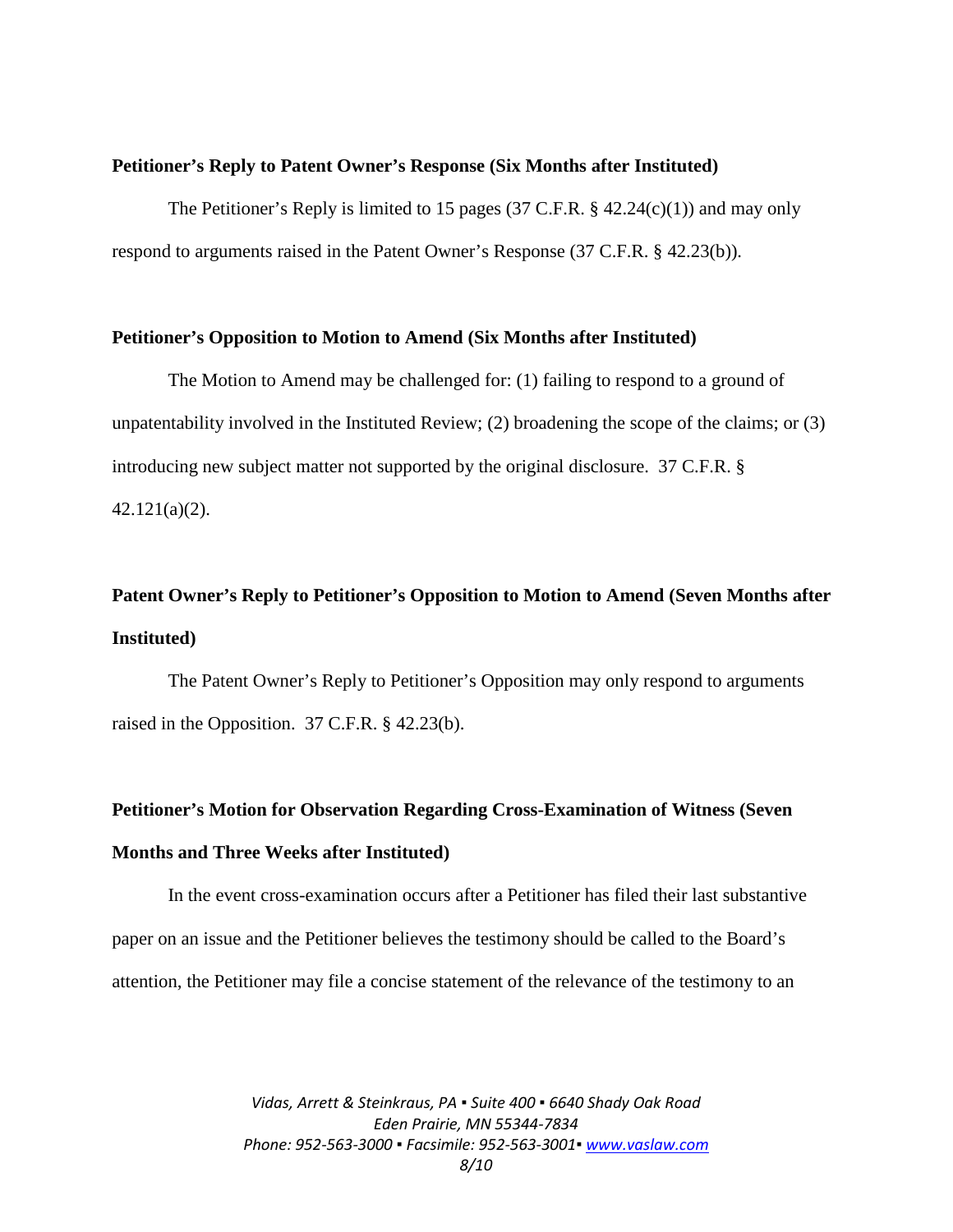#### **Petitioner's Reply to Patent Owner's Response (Six Months after Instituted)**

The Petitioner's Reply is limited to 15 pages (37 C.F.R. § 42.24(c)(1)) and may only respond to arguments raised in the Patent Owner's Response (37 C.F.R. § 42.23(b)).

#### **Petitioner's Opposition to Motion to Amend (Six Months after Instituted)**

The Motion to Amend may be challenged for: (1) failing to respond to a ground of unpatentability involved in the Instituted Review; (2) broadening the scope of the claims; or (3) introducing new subject matter not supported by the original disclosure. 37 C.F.R. § 42.121(a)(2).

# **Patent Owner's Reply to Petitioner's Opposition to Motion to Amend (Seven Months after Instituted)**

The Patent Owner's Reply to Petitioner's Opposition may only respond to arguments raised in the Opposition. 37 C.F.R. § 42.23(b).

# **Petitioner's Motion for Observation Regarding Cross-Examination of Witness (Seven Months and Three Weeks after Instituted)**

In the event cross-examination occurs after a Petitioner has filed their last substantive paper on an issue and the Petitioner believes the testimony should be called to the Board's attention, the Petitioner may file a concise statement of the relevance of the testimony to an

> *Vidas, Arrett & Steinkraus, PA ▪ Suite 400 ▪ 6640 Shady Oak Road Eden Prairie, MN 55344-7834 Phone: 952-563-3000 ▪ Facsimile: 952-563-3001[▪ www.vaslaw.com](http://www.vaslaw.com/) 8/10*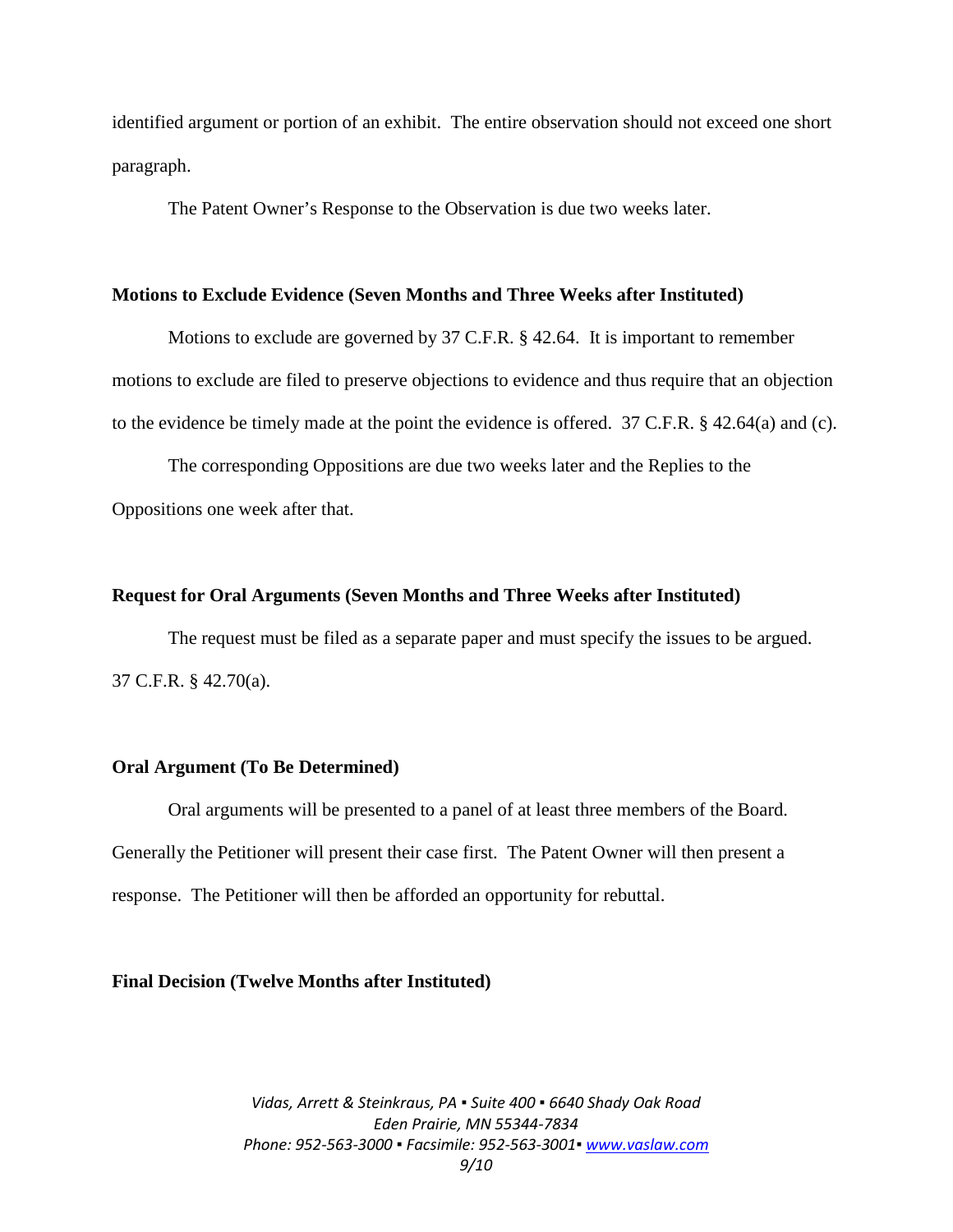identified argument or portion of an exhibit. The entire observation should not exceed one short paragraph.

The Patent Owner's Response to the Observation is due two weeks later.

#### **Motions to Exclude Evidence (Seven Months and Three Weeks after Instituted)**

Motions to exclude are governed by 37 C.F.R. § 42.64. It is important to remember motions to exclude are filed to preserve objections to evidence and thus require that an objection to the evidence be timely made at the point the evidence is offered. 37 C.F.R. § 42.64(a) and (c).

The corresponding Oppositions are due two weeks later and the Replies to the Oppositions one week after that.

#### **Request for Oral Arguments (Seven Months and Three Weeks after Instituted)**

The request must be filed as a separate paper and must specify the issues to be argued. 37 C.F.R. § 42.70(a).

# **Oral Argument (To Be Determined)**

Oral arguments will be presented to a panel of at least three members of the Board. Generally the Petitioner will present their case first. The Patent Owner will then present a response. The Petitioner will then be afforded an opportunity for rebuttal.

#### **Final Decision (Twelve Months after Instituted)**

*Vidas, Arrett & Steinkraus, PA ▪ Suite 400 ▪ 6640 Shady Oak Road Eden Prairie, MN 55344-7834 Phone: 952-563-3000 ▪ Facsimile: 952-563-3001[▪ www.vaslaw.com](http://www.vaslaw.com/) 9/10*